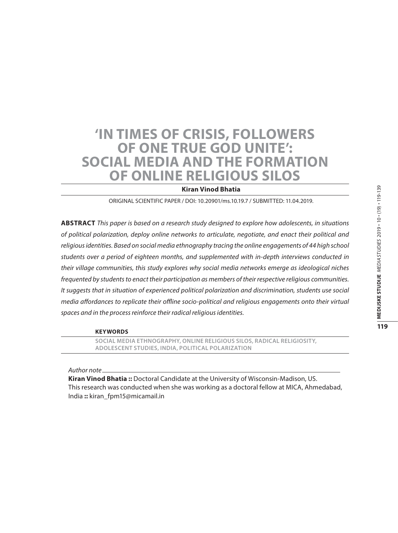# **'In times of crisis, followers of one true god unite': Social media and the formation of online religious silos**

#### **Kiran Vinod Bhatia**

ORIGINAL SCIENTIFIC PAPER / DOI: 10.20901/ms.10.19.7 / SUBMITTED: 11.04.2019.

**Abstract** *This paper is based on a research study designed to explore how adolescents, in situations of political polarization, deploy online networks to articulate, negotiate, and enact their political and religious identities. Based on social media ethnography tracing the online engagements of 44 high school students over a period of eighteen months, and supplemented with in-depth interviews conducted in their village communities, this study explores why social media networks emerge as ideological niches frequented by students to enact their participation as members of their respective religious communities. It suggests that in situation of experienced political polarization and discrimination, students use social media affordances to replicate their offline socio-political and religious engagements onto their virtual spaces and in the process reinforce their radical religious identities.*

**Keywords**

**social media ethnography, online religious silos, radical religiosity, adolescent studies, India, political polarization**

*Author note*

**Kiran Vinod Bhatia ::** Doctoral Candidate at the University of Wisconsin-Madison, US. This research was conducted when she was working as a doctoral fellow at MICA, Ahmedabad, India **::** kiran\_fpm15@micamail.in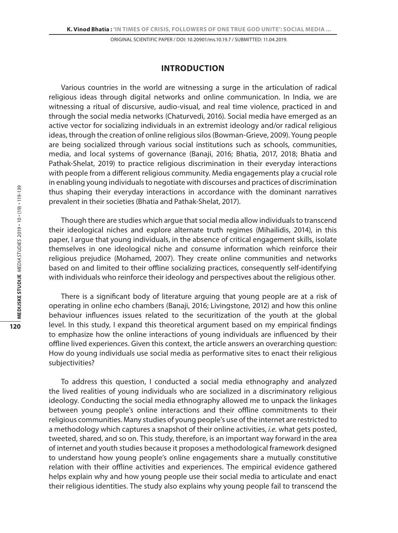## **Introduction**

Various countries in the world are witnessing a surge in the articulation of radical religious ideas through digital networks and online communication. In India, we are witnessing a ritual of discursive, audio-visual, and real time violence, practiced in and through the social media networks (Chaturvedi, 2016). Social media have emerged as an active vector for socializing individuals in an extremist ideology and/or radical religious ideas, through the creation of online religious silos (Bowman-Grieve, 2009). Young people are being socialized through various social institutions such as schools, communities, media, and local systems of governance (Banaji, 2016; Bhatia, 2017, 2018; Bhatia and Pathak-Shelat, 2019) to practice religious discrimination in their everyday interactions with people from a different religious community. Media engagements play a crucial role in enabling young individuals to negotiate with discourses and practices of discrimination thus shaping their everyday interactions in accordance with the dominant narratives prevalent in their societies (Bhatia and Pathak-Shelat, 2017).

Though there are studies which argue that social media allow individuals to transcend their ideological niches and explore alternate truth regimes (Mihailidis, 2014), in this paper, I argue that young individuals, in the absence of critical engagement skills, isolate themselves in one ideological niche and consume information which reinforce their religious prejudice (Mohamed, 2007). They create online communities and networks based on and limited to their offline socializing practices, consequently self-identifying with individuals who reinforce their ideology and perspectives about the religious other.

There is a significant body of literature arguing that young people are at a risk of operating in online echo chambers (Banaji, 2016; Livingstone, 2012) and how this online behaviour influences issues related to the securitization of the youth at the global level. In this study, I expand this theoretical argument based on my empirical findings to emphasize how the online interactions of young individuals are influenced by their offline lived experiences. Given this context, the article answers an overarching question: How do young individuals use social media as performative sites to enact their religious subjectivities?

To address this question, I conducted a social media ethnography and analyzed the lived realities of young individuals who are socialized in a discriminatory religious ideology. Conducting the social media ethnography allowed me to unpack the linkages between young people's online interactions and their offline commitments to their religious communities. Many studies of young people's use of the internet are restricted to a methodology which captures a snapshot of their online activities, *i.e.* what gets posted, tweeted, shared, and so on. This study, therefore, is an important way forward in the area of internet and youth studies because it proposes a methodological framework designed to understand how young people's online engagements share a mutually constitutive relation with their offline activities and experiences. The empirical evidence gathered helps explain why and how young people use their social media to articulate and enact their religious identities. The study also explains why young people fail to transcend the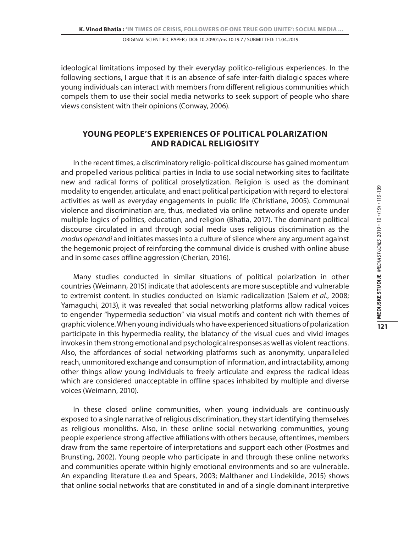ideological limitations imposed by their everyday politico-religious experiences. In the following sections, I argue that it is an absence of safe inter-faith dialogic spaces where young individuals can interact with members from different religious communities which compels them to use their social media networks to seek support of people who share views consistent with their opinions (Conway, 2006).

# **Young people's experiences of political polarization and radical religiosity**

In the recent times, a discriminatory religio-political discourse has gained momentum and propelled various political parties in India to use social networking sites to facilitate new and radical forms of political proselytization. Religion is used as the dominant modality to engender, articulate, and enact political participation with regard to electoral activities as well as everyday engagements in public life (Christiane, 2005). Communal violence and discrimination are, thus, mediated via online networks and operate under multiple logics of politics, education, and religion (Bhatia, 2017). The dominant political discourse circulated in and through social media uses religious discrimination as the *modus operandi* and initiates masses into a culture of silence where any argument against the hegemonic project of reinforcing the communal divide is crushed with online abuse and in some cases offline aggression (Cherian, 2016).

Many studies conducted in similar situations of political polarization in other countries (Weimann, 2015) indicate that adolescents are more susceptible and vulnerable to extremist content. In studies conducted on Islamic radicalization (Salem *et al.*, 2008; Yamaguchi, 2013), it was revealed that social networking platforms allow radical voices to engender "hypermedia seduction" via visual motifs and content rich with themes of graphic violence. When young individuals who have experienced situations of polarization participate in this hypermedia reality, the blatancy of the visual cues and vivid images invokes in them strong emotional and psychological responses as well as violent reactions. Also, the affordances of social networking platforms such as anonymity, unparalleled reach, unmonitored exchange and consumption of information, and intractability, among other things allow young individuals to freely articulate and express the radical ideas which are considered unacceptable in offline spaces inhabited by multiple and diverse voices (Weimann, 2010).

In these closed online communities, when young individuals are continuously exposed to a single narrative of religious discrimination, they start identifying themselves as religious monoliths. Also, in these online social networking communities, young people experience strong affective affiliations with others because, oftentimes, members draw from the same repertoire of interpretations and support each other (Postmes and Brunsting, 2002). Young people who participate in and through these online networks and communities operate within highly emotional environments and so are vulnerable. An expanding literature (Lea and Spears, 2003; Malthaner and Lindekilde, 2015) shows that online social networks that are constituted in and of a single dominant interpretive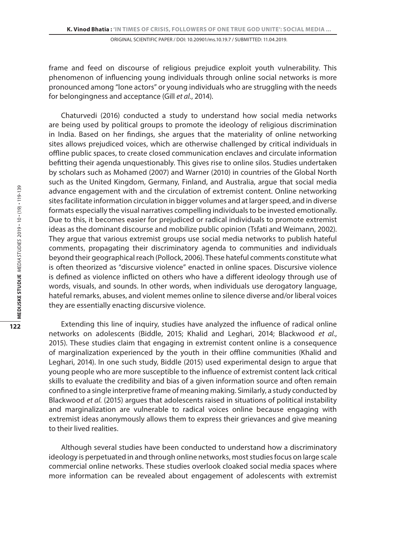frame and feed on discourse of religious prejudice exploit youth vulnerability. This phenomenon of influencing young individuals through online social networks is more pronounced among "lone actors" or young individuals who are struggling with the needs for belongingness and acceptance (Gill *et al.*, 2014).

Chaturvedi (2016) conducted a study to understand how social media networks are being used by political groups to promote the ideology of religious discrimination in India. Based on her findings, she argues that the materiality of online networking sites allows prejudiced voices, which are otherwise challenged by critical individuals in offline public spaces, to create closed communication enclaves and circulate information befitting their agenda unquestionably. This gives rise to online silos. Studies undertaken by scholars such as Mohamed (2007) and Warner (2010) in countries of the Global North such as the United Kingdom, Germany, Finland, and Australia, argue that social media advance engagement with and the circulation of extremist content. Online networking sites facilitate information circulation in bigger volumes and at larger speed, and in diverse formats especially the visual narratives compelling individuals to be invested emotionally. Due to this, it becomes easier for prejudiced or radical individuals to promote extremist ideas as the dominant discourse and mobilize public opinion (Tsfati and Weimann, 2002). They argue that various extremist groups use social media networks to publish hateful comments, propagating their discriminatory agenda to communities and individuals beyond their geographical reach (Pollock, 2006). These hateful comments constitute what is often theorized as "discursive violence" enacted in online spaces. Discursive violence is defined as violence inflicted on others who have a different ideology through use of words, visuals, and sounds. In other words, when individuals use derogatory language, hateful remarks, abuses, and violent memes online to silence diverse and/or liberal voices they are essentially enacting discursive violence.

Extending this line of inquiry, studies have analyzed the influence of radical online networks on adolescents (Biddle, 2015; Khalid and Leghari, 2014; Blackwood *et al.*, 2015). These studies claim that engaging in extremist content online is a consequence of marginalization experienced by the youth in their offline communities (Khalid and Leghari, 2014). In one such study, Biddle (2015) used experimental design to argue that young people who are more susceptible to the influence of extremist content lack critical skills to evaluate the credibility and bias of a given information source and often remain confined to a single interpretive frame of meaning making. Similarly, a study conducted by Blackwood *et al.* (2015) argues that adolescents raised in situations of political instability and marginalization are vulnerable to radical voices online because engaging with extremist ideas anonymously allows them to express their grievances and give meaning to their lived realities.

Although several studies have been conducted to understand how a discriminatory ideology is perpetuated in and through online networks, most studies focus on large scale commercial online networks. These studies overlook cloaked social media spaces where more information can be revealed about engagement of adolescents with extremist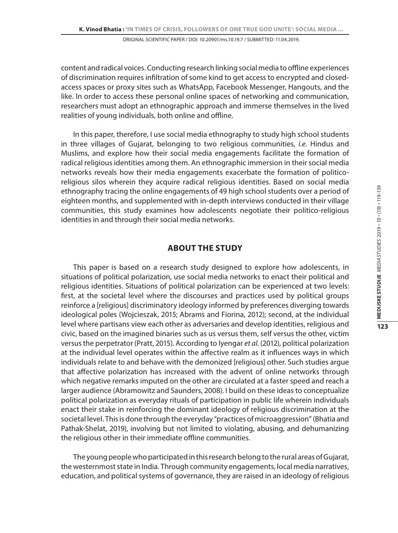content and radical voices. Conducting research linking social media to offline experiences of discrimination requires infiltration of some kind to get access to encrypted and closedaccess spaces or proxy sites such as WhatsApp, Facebook Messenger, Hangouts, and the like. In order to access these personal online spaces of networking and communication, researchers must adopt an ethnographic approach and immerse themselves in the lived realities of young individuals, both online and offline.

In this paper, therefore, I use social media ethnography to study high school students in three villages of Gujarat, belonging to two religious communities, *i.e.* Hindus and Muslims, and explore how their social media engagements facilitate the formation of radical religious identities among them. An ethnographic immersion in their social media networks reveals how their media engagements exacerbate the formation of politicoreligious silos wherein they acquire radical religious identities. Based on social media ethnography tracing the online engagements of 49 high school students over a period of eighteen months, and supplemented with in-depth interviews conducted in their village communities, this study examines how adolescents negotiate their politico-religious identities in and through their social media networks.

## **About the Study**

This paper is based on a research study designed to explore how adolescents, in situations of political polarization, use social media networks to enact their political and religious identities. Situations of political polarization can be experienced at two levels: first, at the societal level where the discourses and practices used by political groups reinforce a [religious] discriminatory ideology informed by preferences diverging towards ideological poles (Wojcieszak, 2015; Abrams and Fiorina, 2012); second, at the individual level where partisans view each other as adversaries and develop identities, religious and civic, based on the imagined binaries such as us versus them, self versus the other, victim versus the perpetrator (Pratt, 2015). According to Iyengar *et al*. (2012), political polarization at the individual level operates within the affective realm as it influences ways in which individuals relate to and behave with the demonized [religious] other. Such studies argue that affective polarization has increased with the advent of online networks through which negative remarks imputed on the other are circulated at a faster speed and reach a larger audience (Abramowitz and Saunders, 2008). I build on these ideas to conceptualize political polarization as everyday rituals of participation in public life wherein individuals enact their stake in reinforcing the dominant ideology of religious discrimination at the societal level. This is done through the everyday "practices of microaggression" (Bhatia and Pathak-Shelat, 2019), involving but not limited to violating, abusing, and dehumanizing the religious other in their immediate offline communities.

The young people who participated in this research belong to the rural areas of Gujarat, the westernmost state in India. Through community engagements, local media narratives, education, and political systems of governance, they are raised in an ideology of religious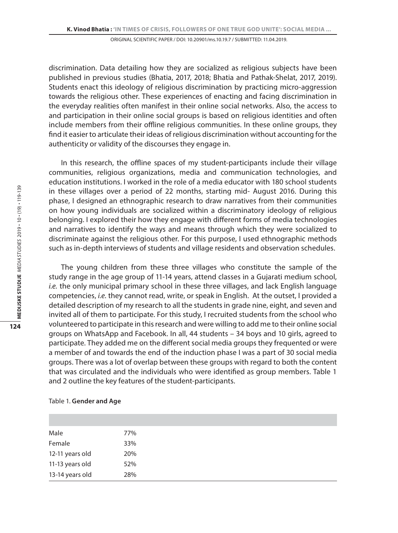discrimination. Data detailing how they are socialized as religious subjects have been published in previous studies (Bhatia, 2017, 2018; Bhatia and Pathak-Shelat, 2017, 2019). Students enact this ideology of religious discrimination by practicing micro-aggression towards the religious other. These experiences of enacting and facing discrimination in the everyday realities often manifest in their online social networks. Also, the access to and participation in their online social groups is based on religious identities and often include members from their offline religious communities. In these online groups, they find it easier to articulate their ideas of religious discrimination without accounting for the authenticity or validity of the discourses they engage in.

In this research, the offline spaces of my student-participants include their village communities, religious organizations, media and communication technologies, and education institutions. I worked in the role of a media educator with 180 school students in these villages over a period of 22 months, starting mid- August 2016. During this phase, I designed an ethnographic research to draw narratives from their communities on how young individuals are socialized within a discriminatory ideology of religious belonging. I explored their how they engage with different forms of media technologies and narratives to identify the ways and means through which they were socialized to discriminate against the religious other. For this purpose, I used ethnographic methods such as in-depth interviews of students and village residents and observation schedules.

The young children from these three villages who constitute the sample of the study range in the age group of 11-14 years, attend classes in a Gujarati medium school, *i.e.* the only municipal primary school in these three villages, and lack English language competencies, *i.e.* they cannot read, write, or speak in English. At the outset, I provided a detailed description of my research to all the students in grade nine, eight, and seven and invited all of them to participate. For this study, I recruited students from the school who volunteered to participate in this research and were willing to add me to their online social groups on WhatsApp and Facebook. In all, 44 students – 34 boys and 10 girls, agreed to participate. They added me on the different social media groups they frequented or were a member of and towards the end of the induction phase I was a part of 30 social media groups. There was a lot of overlap between these groups with regard to both the content that was circulated and the individuals who were identified as group members. Table 1 and 2 outline the key features of the student-participants.

#### Table 1. **Gender and Age**

| Male            | 77% |
|-----------------|-----|
| Female          | 33% |
| 12-11 years old | 20% |
| 11-13 years old | 52% |
| 13-14 years old | 28% |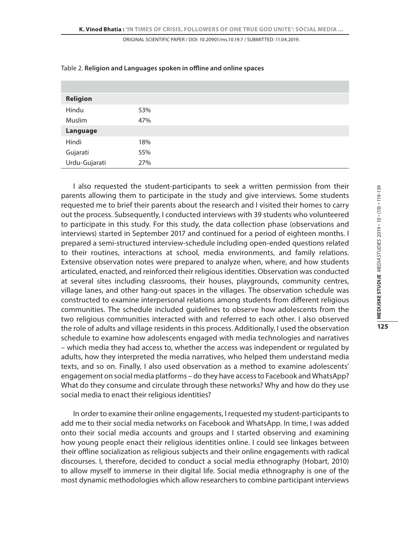| <b>Religion</b> |     |
|-----------------|-----|
| Hindu           | 53% |
| Muslim          | 47% |
| Language        |     |
| Hindi           | 18% |
| Gujarati        | 55% |
| Urdu-Gujarati   | 27% |

## Table 2. **Religion and Languages spoken in offline and online spaces**

I also requested the student-participants to seek a written permission from their parents allowing them to participate in the study and give interviews. Some students requested me to brief their parents about the research and I visited their homes to carry out the process. Subsequently, I conducted interviews with 39 students who volunteered to participate in this study. For this study, the data collection phase (observations and interviews) started in September 2017 and continued for a period of eighteen months. I prepared a semi-structured interview-schedule including open-ended questions related to their routines, interactions at school, media environments, and family relations. Extensive observation notes were prepared to analyze when, where, and how students articulated, enacted, and reinforced their religious identities. Observation was conducted at several sites including classrooms, their houses, playgrounds, community centres, village lanes, and other hang-out spaces in the villages. The observation schedule was constructed to examine interpersonal relations among students from different religious communities. The schedule included guidelines to observe how adolescents from the two religious communities interacted with and referred to each other. I also observed the role of adults and village residents in this process. Additionally, I used the observation schedule to examine how adolescents engaged with media technologies and narratives – which media they had access to, whether the access was independent or regulated by adults, how they interpreted the media narratives, who helped them understand media texts, and so on. Finally, I also used observation as a method to examine adolescents' engagement on social media platforms – do they have access to Facebook and WhatsApp? What do they consume and circulate through these networks? Why and how do they use social media to enact their religious identities?

In order to examine their online engagements, I requested my student-participants to add me to their social media networks on Facebook and WhatsApp. In time, I was added onto their social media accounts and groups and I started observing and examining how young people enact their religious identities online. I could see linkages between their offline socialization as religious subjects and their online engagements with radical discourses. I, therefore, decided to conduct a social media ethnography (Hobart, 2010) to allow myself to immerse in their digital life. Social media ethnography is one of the most dynamic methodologies which allow researchers to combine participant interviews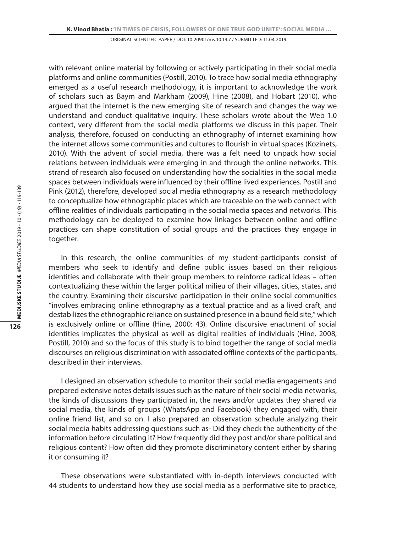with relevant online material by following or actively participating in their social media platforms and online communities (Postill, 2010). To trace how social media ethnography emerged as a useful research methodology, it is important to acknowledge the work of scholars such as Baym and Markham (2009), Hine (2008), and Hobart (2010), who argued that the internet is the new emerging site of research and changes the way we understand and conduct qualitative inquiry. These scholars wrote about the Web 1.0 context, very different from the social media platforms we discuss in this paper. Their analysis, therefore, focused on conducting an ethnography of internet examining how the internet allows some communities and cultures to flourish in virtual spaces (Kozinets, 2010). With the advent of social media, there was a felt need to unpack how social relations between individuals were emerging in and through the online networks. This strand of research also focused on understanding how the socialities in the social media spaces between individuals were influenced by their offline lived experiences. Postill and Pink (2012), therefore, developed social media ethnography as a research methodology to conceptualize how ethnographic places which are traceable on the web connect with offline realities of individuals participating in the social media spaces and networks. This methodology can be deployed to examine how linkages between online and offline practices can shape constitution of social groups and the practices they engage in together.

In this research, the online communities of my student-participants consist of members who seek to identify and define public issues based on their religious identities and collaborate with their group members to reinforce radical ideas – often contextualizing these within the larger political milieu of their villages, cities, states, and the country. Examining their discursive participation in their online social communities "involves embracing online ethnography as a textual practice and as a lived craft, and destabilizes the ethnographic reliance on sustained presence in a bound field site," which is exclusively online or offline (Hine, 2000: 43). Online discursive enactment of social identities implicates the physical as well as digital realities of individuals (Hine, 2008; Postill, 2010) and so the focus of this study is to bind together the range of social media discourses on religious discrimination with associated offline contexts of the participants, described in their interviews.

I designed an observation schedule to monitor their social media engagements and prepared extensive notes details issues such as the nature of their social media networks, the kinds of discussions they participated in, the news and/or updates they shared via social media, the kinds of groups (WhatsApp and Facebook) they engaged with, their online friend list, and so on. I also prepared an observation schedule analyzing their social media habits addressing questions such as- Did they check the authenticity of the information before circulating it? How frequently did they post and/or share political and religious content? How often did they promote discriminatory content either by sharing it or consuming it?

These observations were substantiated with in-depth interviews conducted with 44 students to understand how they use social media as a performative site to practice,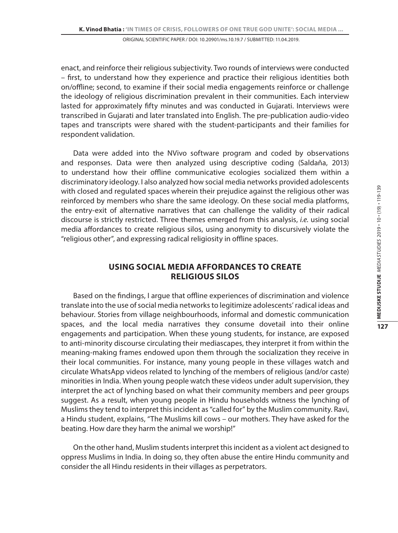enact, and reinforce their religious subjectivity. Two rounds of interviews were conducted – first, to understand how they experience and practice their religious identities both on/offline; second, to examine if their social media engagements reinforce or challenge the ideology of religious discrimination prevalent in their communities. Each interview lasted for approximately fifty minutes and was conducted in Gujarati. Interviews were transcribed in Gujarati and later translated into English. The pre-publication audio-video tapes and transcripts were shared with the student-participants and their families for respondent validation.

Data were added into the NVivo software program and coded by observations and responses. Data were then analyzed using descriptive coding (Saldaña, 2013) to understand how their offline communicative ecologies socialized them within a discriminatory ideology. I also analyzed how social media networks provided adolescents with closed and regulated spaces wherein their prejudice against the religious other was reinforced by members who share the same ideology. On these social media platforms, the entry-exit of alternative narratives that can challenge the validity of their radical discourse is strictly restricted. Three themes emerged from this analysis, *i.e.* using social media affordances to create religious silos, using anonymity to discursively violate the "religious other", and expressing radical religiosity in offline spaces.

## **Using social media affordances to create religious silos**

Based on the findings, I argue that offline experiences of discrimination and violence translate into the use of social media networks to legitimize adolescents' radical ideas and behaviour. Stories from village neighbourhoods, informal and domestic communication spaces, and the local media narratives they consume dovetail into their online engagements and participation. When these young students, for instance, are exposed to anti-minority discourse circulating their mediascapes, they interpret it from within the meaning-making frames endowed upon them through the socialization they receive in their local communities. For instance, many young people in these villages watch and circulate WhatsApp videos related to lynching of the members of religious (and/or caste) minorities in India. When young people watch these videos under adult supervision, they interpret the act of lynching based on what their community members and peer groups suggest. As a result, when young people in Hindu households witness the lynching of Muslims they tend to interpret this incident as "called for" by the Muslim community. Ravi, a Hindu student, explains, "The Muslims kill cows – our mothers. They have asked for the beating. How dare they harm the animal we worship!"

On the other hand, Muslim students interpret this incident as a violent act designed to oppress Muslims in India. In doing so, they often abuse the entire Hindu community and consider the all Hindu residents in their villages as perpetrators.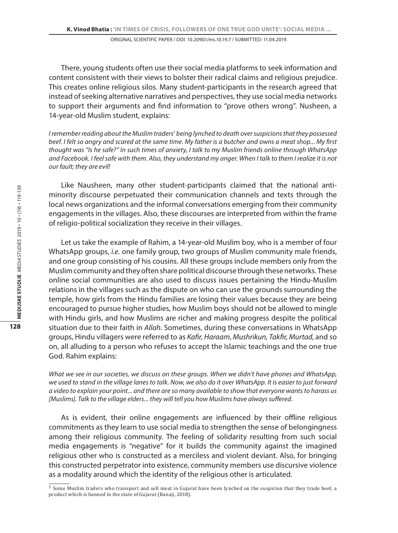There, young students often use their social media platforms to seek information and content consistent with their views to bolster their radical claims and religious prejudice. This creates online religious silos. Many student-participants in the research agreed that instead of seeking alternative narratives and perspectives, they use social media networks to support their arguments and find information to "prove others wrong". Nusheen, a 14-year-old Muslim student, explains:

I remember reading about the Muslim traders<sup>1</sup> being lynched to death over suspicions that they possessed *beef. I felt so angry and scared at the same time. My father is a butcher and owns a meat shop... My first thought was "Is he safe?" In such times of anxiety, I talk to my Muslim friends online through WhatsApp and Facebook. I feel safe with them. Also, they understand my anger. When I talk to them I realize it is not our fault; they are evil!*

Like Nausheen, many other student-participants claimed that the national antiminority discourse perpetuated their communication channels and texts through the local news organizations and the informal conversations emerging from their community engagements in the villages. Also, these discourses are interpreted from within the frame of religio-political socialization they receive in their villages.

Let us take the example of Rahim, a 14-year-old Muslim boy, who is a member of four WhatsApp groups, *i.e.* one family group, two groups of Muslim community male friends, and one group consisting of his cousins. All these groups include members only from the Muslim community and they often share political discourse through these networks. These online social communities are also used to discuss issues pertaining the Hindu-Muslim relations in the villages such as the dispute on who can use the grounds surrounding the temple, how girls from the Hindu families are losing their values because they are being encouraged to pursue higher studies, how Muslim boys should not be allowed to mingle with Hindu girls, and how Muslims are richer and making progress despite the political situation due to their faith in *Allah*. Sometimes, during these conversations in WhatsApp groups, Hindu villagers were referred to as *Kafir*, *Haraam*, *Mushrikun, Takfir, Murtad*, and so on, all alluding to a person who refuses to accept the Islamic teachings and the one true God. Rahim explains:

*What we see in our societies, we discuss on these groups. When we didn't have phones and WhatsApp, we used to stand in the village lanes to talk. Now, we also do it over WhatsApp. It is easier to just forward a video to explain your point... and there are so many available to show that everyone wants to harass us*  [Muslims]. Talk to the village elders... they will tell you how Muslims have always suffered.

As is evident, their online engagements are influenced by their offline religious commitments as they learn to use social media to strengthen the sense of belongingness among their religious community. The feeling of solidarity resulting from such social media engagements is "negative" for it builds the community against the imagined religious other who is constructed as a merciless and violent deviant. Also, for bringing this constructed perpetrator into existence, community members use discursive violence as a modality around which the identity of the religious other is articulated.

 $\frac{1}{1}$  Some Muslim traders who transport and sell meat in Gujarat have been lynched on the suspicion that they trade beef, a product which is banned in the state of Gujarat (Banaji, 2018).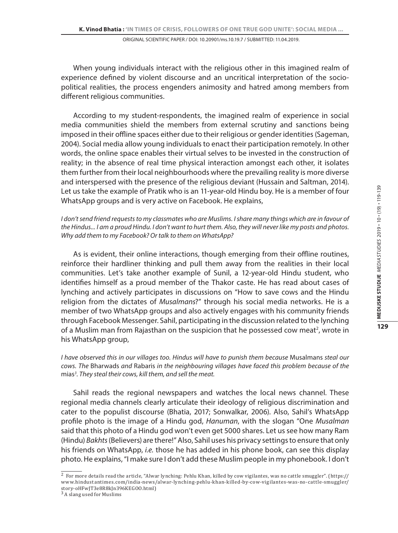When young individuals interact with the religious other in this imagined realm of experience defined by violent discourse and an uncritical interpretation of the sociopolitical realities, the process engenders animosity and hatred among members from different religious communities.

According to my student-respondents, the imagined realm of experience in social media communities shield the members from external scrutiny and sanctions being imposed in their offline spaces either due to their religious or gender identities (Sageman, 2004). Social media allow young individuals to enact their participation remotely. In other words, the online space enables their virtual selves to be invested in the construction of reality; in the absence of real time physical interaction amongst each other, it isolates them further from their local neighbourhoods where the prevailing reality is more diverse and interspersed with the presence of the religious deviant (Hussain and Saltman, 2014). Let us take the example of Pratik who is an 11-year-old Hindu boy. He is a member of four WhatsApp groups and is very active on Facebook. He explains,

*I don't send friend requests to my classmates who are Muslims. I share many things which are in favour of the Hindus... I am a proud Hindu. I don't want to hurt them. Also, they will never like my posts and photos. Why add them to my Facebook? Or talk to them on WhatsApp?* 

As is evident, their online interactions, though emerging from their offline routines, reinforce their hardliner thinking and pull them away from the realities in their local communities. Let's take another example of Sunil, a 12-year-old Hindu student, who identifies himself as a proud member of the Thakor caste. He has read about cases of lynching and actively participates in discussions on "How to save cows and the Hindu religion from the dictates of *Musalmans*?" through his social media networks. He is a member of two WhatsApp groups and also actively engages with his community friends through Facebook Messenger. Sahil, participating in the discussion related to the lynching of a Muslim man from Rajasthan on the suspicion that he possessed cow meat<sup>2</sup>, wrote in his WhatsApp group,

*I have observed this in our villages too. Hindus will have to punish them because* Musalmans *steal our cows. The* Bharwads *and* Rabaris *in the neighbouring villages have faced this problem because of the*  mias*<sup>3</sup> . They steal their cows, kill them, and sell the meat.* 

Sahil reads the regional newspapers and watches the local news channel*.* These regional media channels clearly articulate their ideology of religious discrimination and cater to the populist discourse (Bhatia, 2017; Sonwalkar, 2006). Also, Sahil's WhatsApp profile photo is the image of a Hindu god, *Hanuman*, with the slogan "One *Musalman* said that this photo of a Hindu god won't even get 5000 shares. Let us see how many Ram (Hindu) *Bakhts* (Believers) are there!" Also, Sahil uses his privacy settings to ensure that only his friends on WhatsApp, *i.e.* those he has added in his phone book, can see this display photo. He explains, "I make sure I don't add these Muslim people in my phonebook. I don't

 $\overline{2}$  For more details read the article, "Alwar lynching: Pehlu Khan, killed by cow vigilantes, was no cattle smuggler". (https:// www.hindustantimes.com/india-news/alwar-lynching-pehlu-khan-killed-by-cow-vigilantes-was-no-cattle-smuggler/ story-oHFwJT3e8R8kJn396KEGOO.html)

<sup>3</sup> A slang used for Muslims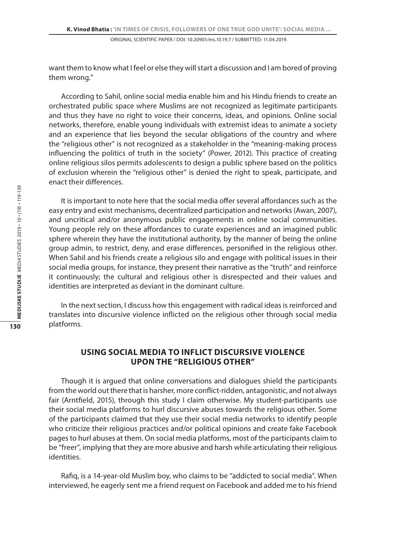want them to know what I feel or else they will start a discussion and I am bored of proving them wrong."

According to Sahil, online social media enable him and his Hindu friends to create an orchestrated public space where Muslims are not recognized as legitimate participants and thus they have no right to voice their concerns, ideas, and opinions. Online social networks, therefore, enable young individuals with extremist ideas to animate a society and an experience that lies beyond the secular obligations of the country and where the "religious other" is not recognized as a stakeholder in the "meaning-making process influencing the politics of truth in the society" (Power, 2012). This practice of creating online religious silos permits adolescents to design a public sphere based on the politics of exclusion wherein the "religious other" is denied the right to speak, participate, and enact their differences.

It is important to note here that the social media offer several affordances such as the easy entry and exist mechanisms, decentralized participation and networks (Awan, 2007), and uncritical and/or anonymous public engagements in online social communities. Young people rely on these affordances to curate experiences and an imagined public sphere wherein they have the institutional authority, by the manner of being the online group admin, to restrict, deny, and erase differences, personified in the religious other. When Sahil and his friends create a religious silo and engage with political issues in their social media groups, for instance, they present their narrative as the "truth" and reinforce it continuously; the cultural and religious other is disrespected and their values and identities are interpreted as deviant in the dominant culture.

In the next section, I discuss how this engagement with radical ideas is reinforced and translates into discursive violence inflicted on the religious other through social media platforms.

## **Using social media to inflict discursive violence upon the "religious other"**

Though it is argued that online conversations and dialogues shield the participants from the world out there that is harsher, more conflict-ridden, antagonistic, and not always fair (Arntfield, 2015), through this study I claim otherwise. My student-participants use their social media platforms to hurl discursive abuses towards the religious other. Some of the participants claimed that they use their social media networks to identify people who criticize their religious practices and/or political opinions and create fake Facebook pages to hurl abuses at them. On social media platforms, most of the participants claim to be "freer", implying that they are more abusive and harsh while articulating their religious identities.

Rafiq, is a 14-year-old Muslim boy, who claims to be "addicted to social media". When interviewed, he eagerly sent me a friend request on Facebook and added me to his friend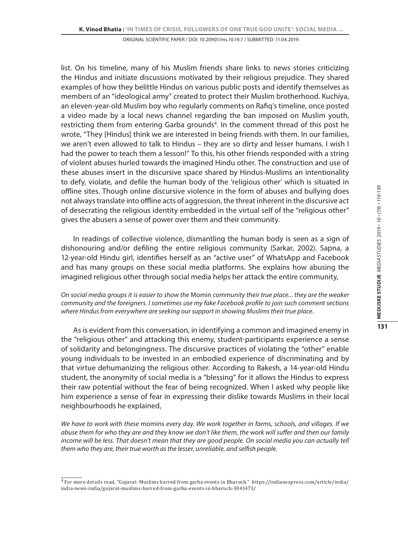list. On his timeline, many of his Muslim friends share links to news stories criticizing the Hindus and initiate discussions motivated by their religious prejudice. They shared examples of how they belittle Hindus on various public posts and identify themselves as members of an "ideological army" created to protect their Muslim brotherhood. Kuchiya, an eleven-year-old Muslim boy who regularly comments on Rafiq's timeline, once posted a video made by a local news channel regarding the ban imposed on Muslim youth, restricting them from entering Garba grounds<sup>4</sup>. In the comment thread of this post he wrote, "They [Hindus] think we are interested in being friends with them. In our families, we aren't even allowed to talk to Hindus – they are so dirty and lesser humans. I wish I had the power to teach them a lesson!" To this, his other friends responded with a string of violent abuses hurled towards the imagined Hindu other. The construction and use of these abuses insert in the discursive space shared by Hindus-Muslims an intentionality to defy, violate, and defile the human body of the 'religious other' which is situated in offline sites. Though online discursive violence in the form of abuses and bullying does not always translate into offline acts of aggression, the threat inherent in the discursive act of desecrating the religious identity embedded in the virtual self of the "religious other" gives the abusers a sense of power over them and their community.

In readings of collective violence, dismantling the human body is seen as a sign of dishonouring and/or defiling the entire religious community (Sarkar, 2002). Sapna, a 12-year-old Hindu girl, identifies herself as an "active user" of WhatsApp and Facebook and has many groups on these social media platforms. She explains how abusing the imagined religious other through social media helps her attack the entire community,

*On social media groups it is easier to show the* Momin *community their true place... they are the weaker community and the foreigners. I sometimes use my fake Facebook profile to join such comment sections where Hindus from everywhere are seeking our support in showing Muslims their true place.* 

As is evident from this conversation, in identifying a common and imagined enemy in the "religious other" and attacking this enemy, student-participants experience a sense of solidarity and belongingness. The discursive practices of violating the "other" enable young individuals to be invested in an embodied experience of discriminating and by that virtue dehumanizing the religious other. According to Rakesh, a 14-year-old Hindu student, the anonymity of social media is a "blessing" for it allows the Hindus to express their raw potential without the fear of being recognized. When I asked why people like him experience a sense of fear in expressing their dislike towards Muslims in their local neighbourhoods he explained,

*We have to work with these* momins *every day. We work together in farms, schools, and villages. If we abuse them for who they are and they know we don't like them, the work will suffer and then our family*  income will be less. That doesn't mean that they are good people. On social media you can actually tell *them who they are, their true worth as the lesser, unreliable, and selfish people.*

<sup>4</sup> For more details read, "Gujarat: Muslims barred from garba events in Bharuch." https://indianexpress.com/article/india/ india-news-india/gujarat-muslims-barred-from-garba-events-in-bharuch-3041473/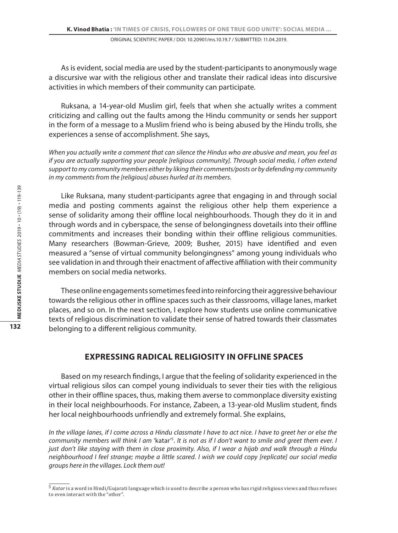As is evident, social media are used by the student-participants to anonymously wage a discursive war with the religious other and translate their radical ideas into discursive activities in which members of their community can participate.

Ruksana, a 14-year-old Muslim girl, feels that when she actually writes a comment criticizing and calling out the faults among the Hindu community or sends her support in the form of a message to a Muslim friend who is being abused by the Hindu trolls, she experiences a sense of accomplishment. She says,

*When you actually write a comment that can silence the Hindus who are abusive and mean, you feel as if you are actually supporting your people [religious community]. Through social media, I often extend*  support to my community members either by liking their comments/posts or by defending my community *in my comments from the [religious] abuses hurled at its members.* 

Like Ruksana, many student-participants agree that engaging in and through social media and posting comments against the religious other help them experience a sense of solidarity among their offline local neighbourhoods. Though they do it in and through words and in cyberspace, the sense of belongingness dovetails into their offline commitments and increases their bonding within their offline religious communities. Many researchers (Bowman-Grieve, 2009; Busher, 2015) have identified and even measured a "sense of virtual community belongingness" among young individuals who see validation in and through their enactment of affective affiliation with their community members on social media networks.

These online engagements sometimes feed into reinforcing their aggressive behaviour towards the religious other in offline spaces such as their classrooms, village lanes, market places, and so on. In the next section, I explore how students use online communicative texts of religious discrimination to validate their sense of hatred towards their classmates belonging to a different religious community.

# **Expressing radical religiosity in offline spaces**

Based on my research findings, I argue that the feeling of solidarity experienced in the virtual religious silos can compel young individuals to sever their ties with the religious other in their offline spaces, thus, making them averse to commonplace diversity existing in their local neighbourhoods. For instance, Zabeen, a 13-year-old Muslim student, finds her local neighbourhoods unfriendly and extremely formal. She explains,

*In the village lanes, if I come across a Hindu classmate I have to act nice. I have to greet her or else the community members will think I am* 'katar'5 *. It is not as if I don't want to smile and greet them ever. I just don't like staying with them in close proximity. Also, if I wear a hijab and walk through a Hindu neighbourhood I feel strange; maybe a little scared. I wish we could copy [replicate] our social media groups here in the villages. Lock them out!* 

<sup>5</sup> *Katar* is a word in Hindi/Gujarati language which is used to describe a person who has rigid religious views and thus refuses to even interact with the "other".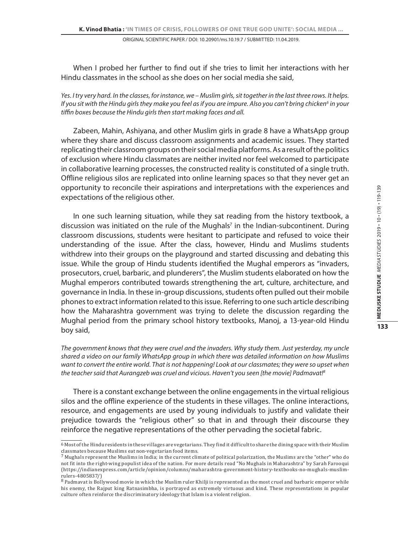When I probed her further to find out if she tries to limit her interactions with her Hindu classmates in the school as she does on her social media she said,

*Yes. I try very hard. In the classes, for instance, we – Muslim girls, sit together in the last three rows. It helps. If you sit with the Hindu girls they make you feel as if you are impure. Also you can't bring chicken6 in your tiffin boxes because the Hindu girls then start making faces and all.*

Zabeen, Mahin, Ashiyana, and other Muslim girls in grade 8 have a WhatsApp group where they share and discuss classroom assignments and academic issues. They started replicating their classroom groups on their social media platforms. As a result of the politics of exclusion where Hindu classmates are neither invited nor feel welcomed to participate in collaborative learning processes, the constructed reality is constituted of a single truth. Offline religious silos are replicated into online learning spaces so that they never get an opportunity to reconcile their aspirations and interpretations with the experiences and expectations of the religious other.

In one such learning situation, while they sat reading from the history textbook, a discussion was initiated on the rule of the Mughals<sup>7</sup> in the Indian-subcontinent. During classroom discussions, students were hesitant to participate and refused to voice their understanding of the issue. After the class, however, Hindu and Muslims students withdrew into their groups on the playground and started discussing and debating this issue. While the group of Hindu students identified the Mughal emperors as "invaders, prosecutors, cruel, barbaric, and plunderers", the Muslim students elaborated on how the Mughal emperors contributed towards strengthening the art, culture, architecture, and governance in India. In these in-group discussions, students often pulled out their mobile phones to extract information related to this issue. Referring to one such article describing how the Maharashtra government was trying to delete the discussion regarding the Mughal period from the primary school history textbooks, Manoj, a 13-year-old Hindu boy said,

*The government knows that they were cruel and the invaders. Why study them. Just yesterday, my uncle shared a video on our family WhatsApp group in which there was detailed information on how Muslims*  want to convert the entire world. That is not happening! Look at our classmates; they were so upset when *the teacher said that Aurangzeb was cruel and vicious. Haven't you seen [the movie] Padmavat!8*

There is a constant exchange between the online engagements in the virtual religious silos and the offline experience of the students in these villages. The online interactions, resource, and engagements are used by young individuals to justify and validate their prejudice towards the "religious other" so that in and through their discourse they reinforce the negative representations of the other pervading the societal fabric.

<sup>6</sup> Most of the Hindu residents in these villages are vegetarians. They find it difficult to share the dining space with their Muslim classmates because Muslims eat non-vegetarian food items.

 $^7$  Mughals represent the Muslims in India; in the current climate of political polarization, the Muslims are the "other" who do not fit into the right-wing populist idea of the nation. For more details read "No Mughals in Maharashtra" by Sarah Farooqui (https://indianexpress.com/article/opinion/columns/maharashtra-government-history-textbooks-no-mughals-muslim-

rulers-4805837/) 8 Padmavat is Bollywood movie in which the Muslim ruler Khilji is represented as the most cruel and barbaric emperor while his enemy, the Rajput king Ratnasimbha, is portrayed as extremely virtuous and kind. These representations in popular culture often reinforce the discriminatory ideology that Islam is a violent religion.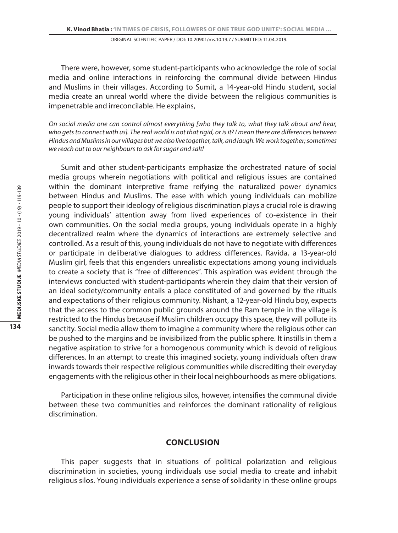There were, however, some student-participants who acknowledge the role of social media and online interactions in reinforcing the communal divide between Hindus and Muslims in their villages. According to Sumit, a 14-year-old Hindu student, social media create an unreal world where the divide between the religious communities is impenetrable and irreconcilable. He explains,

*On social media one can control almost everything [who they talk to, what they talk about and hear,*  who gets to connect with us]. The real world is not that rigid, or is it? I mean there are differences between *Hindus and Muslims in our villages but we also live together, talk, and laugh. We work together; sometimes we reach out to our neighbours to ask for sugar and salt!* 

Sumit and other student-participants emphasize the orchestrated nature of social media groups wherein negotiations with political and religious issues are contained within the dominant interpretive frame reifying the naturalized power dynamics between Hindus and Muslims. The ease with which young individuals can mobilize people to support their ideology of religious discrimination plays a crucial role is drawing young individuals' attention away from lived experiences of co-existence in their own communities. On the social media groups, young individuals operate in a highly decentralized realm where the dynamics of interactions are extremely selective and controlled. As a result of this, young individuals do not have to negotiate with differences or participate in deliberative dialogues to address differences. Ravida, a 13-year-old Muslim girl, feels that this engenders unrealistic expectations among young individuals to create a society that is "free of differences". This aspiration was evident through the interviews conducted with student-participants wherein they claim that their version of an ideal society/community entails a place constituted of and governed by the rituals and expectations of their religious community. Nishant, a 12-year-old Hindu boy, expects that the access to the common public grounds around the Ram temple in the village is restricted to the Hindus because if Muslim children occupy this space, they will pollute its sanctity. Social media allow them to imagine a community where the religious other can be pushed to the margins and be invisibilized from the public sphere. It instills in them a negative aspiration to strive for a homogenous community which is devoid of religious differences. In an attempt to create this imagined society, young individuals often draw inwards towards their respective religious communities while discrediting their everyday engagements with the religious other in their local neighbourhoods as mere obligations.

Participation in these online religious silos, however, intensifies the communal divide between these two communities and reinforces the dominant rationality of religious discrimination.

## **Conclusion**

This paper suggests that in situations of political polarization and religious discrimination in societies, young individuals use social media to create and inhabit religious silos. Young individuals experience a sense of solidarity in these online groups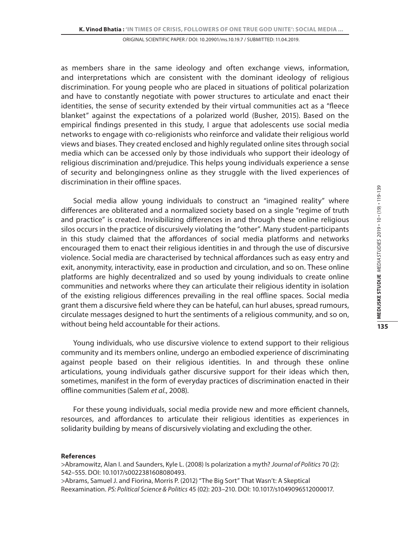as members share in the same ideology and often exchange views, information, and interpretations which are consistent with the dominant ideology of religious discrimination. For young people who are placed in situations of political polarization and have to constantly negotiate with power structures to articulate and enact their identities, the sense of security extended by their virtual communities act as a "fleece blanket" against the expectations of a polarized world (Busher, 2015). Based on the empirical findings presented in this study, I argue that adolescents use social media networks to engage with co-religionists who reinforce and validate their religious world views and biases. They created enclosed and highly regulated online sites through social media which can be accessed only by those individuals who support their ideology of religious discrimination and/prejudice. This helps young individuals experience a sense of security and belongingness online as they struggle with the lived experiences of discrimination in their offline spaces.

Social media allow young individuals to construct an "imagined reality" where differences are obliterated and a normalized society based on a single "regime of truth and practice" is created. Invisibilizing differences in and through these online religious silos occurs in the practice of discursively violating the "other". Many student-participants in this study claimed that the affordances of social media platforms and networks encouraged them to enact their religious identities in and through the use of discursive violence. Social media are characterised by technical affordances such as easy entry and exit, anonymity, interactivity, ease in production and circulation, and so on. These online platforms are highly decentralized and so used by young individuals to create online communities and networks where they can articulate their religious identity in isolation of the existing religious differences prevailing in the real offline spaces. Social media grant them a discursive field where they can be hateful, can hurl abuses, spread rumours, circulate messages designed to hurt the sentiments of a religious community, and so on, without being held accountable for their actions.

Young individuals, who use discursive violence to extend support to their religious community and its members online, undergo an embodied experience of discriminating against people based on their religious identities. In and through these online articulations, young individuals gather discursive support for their ideas which then, sometimes, manifest in the form of everyday practices of discrimination enacted in their offline communities (Salem *et al.*, 2008).

For these young individuals, social media provide new and more efficient channels, resources, and affordances to articulate their religious identities as experiences in solidarity building by means of discursively violating and excluding the other.

#### **References**

>Abramowitz, Alan I. and Saunders, Kyle L. (2008) Is polarization a myth? *Journal of Politics* 70 (2): 542–555. DOI: 10.1017/s0022381608080493.

>Abrams, Samuel J. and Fiorina, Morris P. (2012) "The Big Sort" That Wasn't: A Skeptical Reexamination. *PS: Political Science & Politics* 45 (02): 203–210. DOI: 10.1017/s1049096512000017.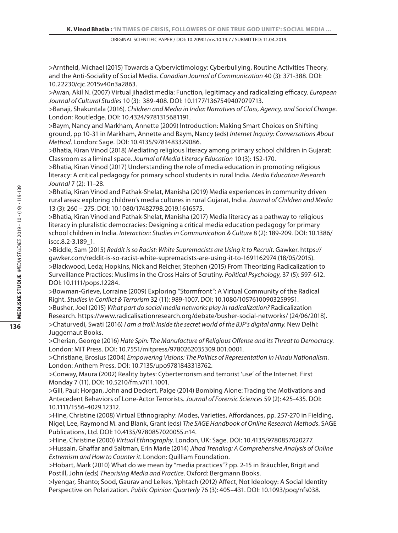>Arntfield, Michael (2015) Towards a Cybervictimology: Cyberbullying, Routine Activities Theory, and the Anti-Sociality of Social Media. *Canadian Journal of Communication* 40 (3): 371-388. DOI: 10.22230/cjc.2015v40n3a2863.

>Awan, Akil N. (2007) Virtual jihadist media: Function, legitimacy and radicalizing efficacy. *European Journal of Cultural Studies* 10 (3): 389-408. DOI: 10.1177/1367549407079713.

>Banaji, Shakuntala (2016). *Children and Media in India: Narratives of Class, Agency, and Social Change*. London: Routledge. DOI: 10.4324/9781315681191.

>Baym, Nancy and Markham, Annette (2009) Introduction: Making Smart Choices on Shifting ground, pp 10-31 in Markham, Annette and Baym, Nancy (eds) *Internet Inquiry: Conversations About Method*. London: Sage. DOI: 10.4135/9781483329086.

>Bhatia, Kiran Vinod (2018) Mediating religious literacy among primary school children in Gujarat: Classroom as a liminal space. *Journal of Media Literacy Education* 10 (3): 152-170.

>Bhatia, Kiran Vinod (2017) Understanding the role of media education in promoting religious literacy: A critical pedagogy for primary school students in rural India. *Media Education Research Journal* 7 (2): 11–28.

>Bhatia, Kiran Vinod and Pathak-Shelat, Manisha (2019) Media experiences in community driven rural areas: exploring children's media cultures in rural Gujarat, India. *Journal of Children and Media*  13 (3): 260 – 275. DOI: 10.1080/17482798.2019.1616575.

>Bhatia, Kiran Vinod and Pathak-Shelat, Manisha (2017) Media literacy as a pathway to religious literacy in pluralistic democracies: Designing a critical media education pedagogy for primary school children in India. *Interaction: Studies in Communication & Culture* 8 (2): 189-209. DOI: 10.1386/ iscc.8.2-3.189\_1.

>Biddle, Sam (2015) *Reddit is so Racist: White Supremacists are Using it to Recruit*. Gawker. https:// gawker.com/reddit-is-so-racist-white-supremacists-are-using-it-to-1691162974 (18/05/2015). >Blackwood, Leda; Hopkins, Nick and Reicher, Stephen (2015) From Theorizing Radicalization to Surveillance Practices: Muslims in the Cross Hairs of Scrutiny*. Political Psychology*, 37 (5): 597-612. DOI: 10.1111/pops.12284.

>Bowman-Grieve, Lorraine (2009) Exploring "Stormfront": A Virtual Community of the Radical Right. *Studies in Conflict & Terrorism* 32 (11): 989-1007. DOI: 10.1080/10576100903259951. >Busher, Joel (2015) *What part do social media networks play in radicalization?* Radicalization Research. https://www.radicalisationresearch.org/debate/busher-social-networks/ (24/06/2018). >Chaturvedi, Swati (2016) *I am a troll: Inside the secret world of the BJP's digital army*. New Delhi: Juggernaut Books.

>Cherian, George (2016) *Hate Spin: The Manufacture of Religious Offense and its Threat to Democracy*. London: MIT Press. DOI: 10.7551/mitpress/9780262035309.001.0001.

>Christiane, Brosius (2004) *Empowering Visions: The Politics of Representation in Hindu Nationalism*. London: Anthem Press. DOI: 10.7135/upo9781843313762.

>Conway, Maura (2002) Reality bytes: Cyberterrorism and terrorist 'use' of the Internet. First Monday 7 (11). DOI: 10.5210/fm.v7i11.1001.

>Gill, Paul; Horgan, John and Deckert, Paige (2014) Bombing Alone: Tracing the Motivations and Antecedent Behaviors of Lone-Actor Terrorists*. Journal of Forensic Sciences* 59 (2): 425-435. DOI: 10.1111/1556-4029.12312.

>Hine, Christine (2008) Virtual Ethnography: Modes, Varieties, Affordances, pp. 257-270 in Fielding, Nigel; Lee, Raymond M. and Blank, Grant (eds) *The SAGE Handbook of Online Research Methods*. SAGE Publications, Ltd. DOI: 10.4135/9780857020055.n14.

>Hine, Christine (2000) *Virtual Ethnography*. London, UK: Sage. DOI: 10.4135/9780857020277. >Hussain, Ghaffar and Saltman, Erin Marie (2014) *Jihad Trending: A Comprehensive Analysis of Online Extremism and How to Counter it*. London: Quilliam Foundation.

>Hobart, Mark (2010) What do we mean by "media practices"? pp. 2-15 in Bräuchler, Brigit and Postill, John (eds) *Theorising Media and Practice*. Oxford: Bergmann Books.

>Iyengar, Shanto; Sood, Gaurav and Lelkes, Yphtach (2012) Affect, Not Ideology: A Social Identity Perspective on Polarization. *Public Opinion Quarterly* 76 (3): 405–431. DOI: 10.1093/poq/nfs038.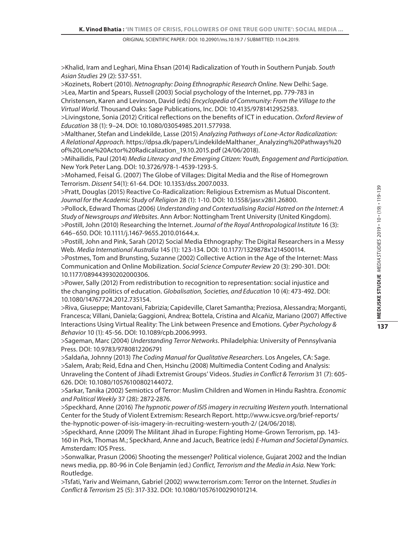>Khalid, Iram and Leghari, Mina Ehsan (2014) Radicalization of Youth in Southern Punjab. *South Asian Studies* 29 (2): 537-551.

>Kozinets, Robert (2010). *Netnography: Doing Ethnographic Research Online*. New Delhi: Sage. >Lea, Martin and Spears, Russell (2003) Social psychology of the Internet, pp. 779-783 in Christensen, Karen and Levinson, David (eds) *Encyclopedia of Community: From the Village to the Virtual World.* Thousand Oaks: Sage Publications, Inc. DOI: 10.4135/9781412952583.

>Livingstone, Sonia (2012) Critical reflections on the benefits of ICT in education. *Oxford Review of Education* 38 (1): 9–24. DOI: 10.1080/03054985.2011.577938.

>Malthaner, Stefan and Lindekilde, Lasse (2015) *Analyzing Pathways of Lone-Actor Radicalization: A Relational Approach*. https://dpsa.dk/papers/LindekildeMalthaner\_Analyzing%20Pathways%20 of%20Lone%20Actor%20Radicalization\_19.10.2015.pdf (24/06/2018).

>Mihailidis, Paul (2014) *Media Literacy and the Emerging Citizen: Youth, Engagement and Participation.* New York Peter Lang. DOI: 10.3726/978-1-4539-1293-5.

>Mohamed, Feisal G. (2007) The Globe of Villages: Digital Media and the Rise of Homegrown Terrorism. *Dissent* 54(1): 61-64. DOI: 10.1353/dss.2007.0033.

>Pratt, Douglas (2015) Reactive Co-Radicalization: Religious Extremism as Mutual Discontent. *Journal for the Academic Study of Religion* 28 (1): 1-10. DOI: 10.1558/jasr.v28i1.26800.

>Pollock, Edward Thomas (2006) *Understanding and Contextualising Racial Hatred on the Internet: A Study of Newsgroups and Websites*. Ann Arbor: Nottingham Trent University (United Kingdom). >Postill, John (2010) Researching the Internet. *Journal of the Royal Anthropological Institute* 16 (3): 646–650. DOI: 10.1111/j.1467-9655.2010.01644.x.

>Postill, John and Pink, Sarah (2012) Social Media Ethnography: The Digital Researchers in a Messy Web. *Media International Australia* 145 (1): 123-134. DOI: 10.1177/1329878x1214500114.

>Postmes, Tom and Brunsting, Suzanne (2002) Collective Action in the Age of the Internet: Mass Communication and Online Mobilization. *Social Science Computer Review* 20 (3): 290-301. DOI: 10.1177/089443930202000306.

>Power, Sally (2012) From redistribution to recognition to representation: social injustice and the changing politics of education. *Globalisation, Societies, and Education* 10 (4): 473-492. DOI: 10.1080/14767724.2012.735154.

>Riva, Giuseppe; Mantovani, Fabrizia; Capideville, Claret Samantha; Preziosa, Alessandra; Morganti, Francesca; Villani, Daniela; Gaggioni, Andrea; Bottela, Cristina and Alcañiz, Mariano (2007) Affective Interactions Using Virtual Reality: The Link between Presence and Emotions. *Cyber Psychology & Behavior* 10 (1): 45-56. DOI: 10.1089/cpb.2006.9993.

>Sageman, Marc (2004) *Understanding Terror Networks*. Philadelphia: University of Pennsylvania Press. DOI: 10.9783/9780812206791

>Saldaña, Johnny (2013) *The Coding Manual for Qualitative Researchers*. Los Angeles, CA: Sage. >Salem, Arab; Reid, Edna and Chen, Hsinchu (2008) Multimedia Content Coding and Analysis: Unraveling the Content of Jihadi Extremist Groups' Videos. *Studies in Conflict & Terrorism* 31 (7): 605- 626. DOI: 10.1080/10576100802144072.

>Sarkar, Tanika (2002) Semiotics of Terror: Muslim Children and Women in Hindu Rashtra. *Economic and Political Weekly* 37 (28): 2872-2876.

>Speckhard, Anne (2016) *The hypnotic power of ISIS imagery in recruiting Western youth*. International Center for the Study of Violent Extremism: Research Report. http://www.icsve.org/brief-reports/ the-hypnotic-power-of-isis-imagery-in-recruiting-western-youth-2/ (24/06/2018).

>Speckhard, Anne (2009) The Militant Jihad in Europe: Fighting Home-Grown Terrorism, pp. 143- 160 in Pick, Thomas M.; Speckhard, Anne and Jacuch, Beatrice (eds) *E-Human and Societal Dynamics*. Amsterdam: IOS Press.

>Sonwalkar, Prasun (2006) Shooting the messenger? Political violence, Gujarat 2002 and the Indian news media, pp. 80-96 in Cole Benjamin (ed.) *Conflict, Terrorism and the Media in Asia*. New York: Routledge.

>Tsfati, Yariv and Weimann, Gabriel (2002) www.terrorism.com: Terror on the Internet. *Studies in Conflict & Terrorism* 25 (5): 317-332. DOI: 10.1080/10576100290101214.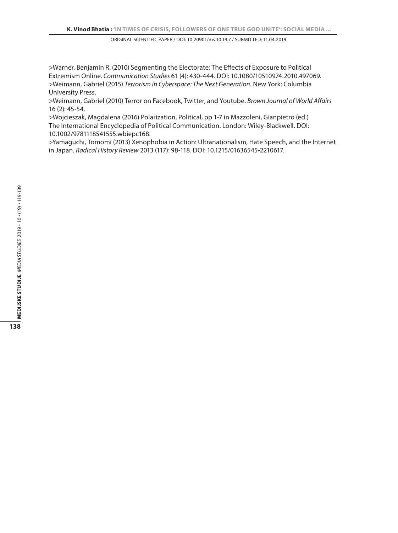>Warner, Benjamin R. (2010) Segmenting the Electorate: The Effects of Exposure to Political Extremism Online. *Communication Studies* 61 (4): 430-444. DOI: 10.1080/10510974.2010.497069. >Weimann, Gabriel (2015) *Terrorism in Cyberspace: The Next Generation.* New York: Columbia University Press.

>Weimann, Gabriel (2010) Terror on Facebook, Twitter, and Youtube. *Brown Journal of World Affairs* 16 (2): 45-54.

>Wojcieszak, Magdalena (2016) Polarization, Political, pp 1-7 in Mazzoleni, Gianpietro (ed.) The International Encyclopedia of Political Communication. London: Wiley-Blackwell. DOI: 10.1002/9781118541555.wbiepc168.

>Yamaguchi, Tomomi (2013) Xenophobia in Action: Ultranationalism, Hate Speech, and the Internet in Japan. *Radical History Review* 2013 (117): 98-118. DOI: 10.1215/01636545-2210617.